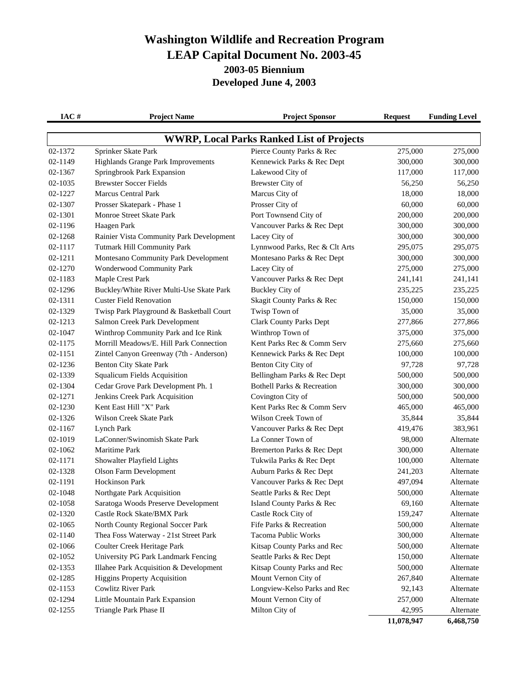## **Washington Wildlife and Recreation Program LEAP Capital Document No. 2003-45 2003-05 Biennium Developed June 4, 2003**

| IAC#    | <b>Project Name</b>                       | <b>Project Sponsor</b>                           | <b>Request</b> | <b>Funding Level</b> |
|---------|-------------------------------------------|--------------------------------------------------|----------------|----------------------|
|         |                                           | <b>WWRP, Local Parks Ranked List of Projects</b> |                |                      |
| 02-1372 | Sprinker Skate Park                       | Pierce County Parks & Rec                        | 275,000        | 275,000              |
| 02-1149 | <b>Highlands Grange Park Improvements</b> | Kennewick Parks & Rec Dept                       | 300,000        | 300,000              |
| 02-1367 | Springbrook Park Expansion                | Lakewood City of                                 | 117,000        | 117,000              |
| 02-1035 | <b>Brewster Soccer Fields</b>             | Brewster City of                                 | 56,250         | 56,250               |
| 02-1227 | <b>Marcus Central Park</b>                | Marcus City of                                   | 18,000         | 18,000               |
| 02-1307 | Prosser Skatepark - Phase 1               | Prosser City of                                  | 60,000         | 60,000               |
| 02-1301 | Monroe Street Skate Park                  | Port Townsend City of                            | 200,000        | 200,000              |
| 02-1196 | Haagen Park                               | Vancouver Parks & Rec Dept                       | 300,000        | 300,000              |
| 02-1268 | Rainier Vista Community Park Development  | Lacey City of                                    | 300,000        | 300,000              |
| 02-1117 | <b>Tutmark Hill Community Park</b>        | Lynnwood Parks, Rec & Clt Arts                   | 295,075        | 295,075              |
| 02-1211 | Montesano Community Park Development      | Montesano Parks & Rec Dept                       | 300,000        | 300,000              |
| 02-1270 | Wonderwood Community Park                 | Lacey City of                                    | 275,000        | 275,000              |
| 02-1183 | Maple Crest Park                          | Vancouver Parks & Rec Dept                       | 241,141        | 241,141              |
| 02-1296 | Buckley/White River Multi-Use Skate Park  | <b>Buckley City of</b>                           | 235,225        | 235,225              |
| 02-1311 | <b>Custer Field Renovation</b>            | Skagit County Parks & Rec                        | 150,000        | 150,000              |
| 02-1329 | Twisp Park Playground & Basketball Court  | Twisp Town of                                    | 35,000         | 35,000               |
| 02-1213 | Salmon Creek Park Development             | <b>Clark County Parks Dept</b>                   | 277,866        | 277,866              |
| 02-1047 | Winthrop Community Park and Ice Rink      | Winthrop Town of                                 | 375,000        | 375,000              |
| 02-1175 | Morrill Meadows/E. Hill Park Connection   | Kent Parks Rec & Comm Serv                       | 275,660        | 275,660              |
| 02-1151 | Zintel Canyon Greenway (7th - Anderson)   | Kennewick Parks & Rec Dept                       | 100,000        | 100,000              |
| 02-1236 | <b>Benton City Skate Park</b>             | Benton City City of                              | 97,728         | 97,728               |
| 02-1339 | <b>Squalicum Fields Acquisition</b>       | Bellingham Parks & Rec Dept                      | 500,000        | 500,000              |
| 02-1304 | Cedar Grove Park Development Ph. 1        | <b>Bothell Parks &amp; Recreation</b>            | 300,000        | 300,000              |
| 02-1271 | Jenkins Creek Park Acquisition            | Covington City of                                | 500,000        | 500,000              |
| 02-1230 | Kent East Hill "X" Park                   | Kent Parks Rec & Comm Serv                       | 465,000        | 465,000              |
| 02-1326 | Wilson Creek Skate Park                   | Wilson Creek Town of                             | 35,844         | 35,844               |
| 02-1167 | Lynch Park                                | Vancouver Parks & Rec Dept                       | 419,476        | 383,961              |
| 02-1019 | LaConner/Swinomish Skate Park             | La Conner Town of                                | 98,000         | Alternate            |
| 02-1062 | <b>Maritime Park</b>                      | Bremerton Parks & Rec Dept                       | 300,000        | Alternate            |
| 02-1171 | Showalter Playfield Lights                | Tukwila Parks & Rec Dept                         | 100,000        | Alternate            |
| 02-1328 | Olson Farm Development                    | Auburn Parks & Rec Dept                          | 241,203        | Alternate            |
| 02-1191 | <b>Hockinson Park</b>                     | Vancouver Parks & Rec Dept                       | 497,094        | Alternate            |
| 02-1048 | Northgate Park Acquisition                | Seattle Parks & Rec Dept                         | 500,000        | Alternate            |
| 02-1058 | Saratoga Woods Preserve Development       | Island County Parks & Rec                        | 69,160         | Alternate            |
| 02-1320 | Castle Rock Skate/BMX Park                | Castle Rock City of                              | 159,247        | Alternate            |
| 02-1065 | North County Regional Soccer Park         | Fife Parks & Recreation                          | 500,000        | Alternate            |
| 02-1140 | Thea Foss Waterway - 21st Street Park     | Tacoma Public Works                              | 300,000        | Alternate            |
| 02-1066 | Coulter Creek Heritage Park               | Kitsap County Parks and Rec                      | 500,000        | Alternate            |
| 02-1052 | University PG Park Landmark Fencing       | Seattle Parks & Rec Dept                         | 150,000        | Alternate            |
| 02-1353 | Illahee Park Acquisition & Development    | Kitsap County Parks and Rec                      | 500,000        | Alternate            |
| 02-1285 | <b>Higgins Property Acquisition</b>       | Mount Vernon City of                             | 267,840        | Alternate            |
| 02-1153 | <b>Cowlitz River Park</b>                 | Longview-Kelso Parks and Rec                     | 92,143         | Alternate            |
| 02-1294 | Little Mountain Park Expansion            | Mount Vernon City of                             | 257,000        | Alternate            |
| 02-1255 | Triangle Park Phase II                    | Milton City of                                   | 42,995         | Alternate            |
|         |                                           |                                                  | 11,078,947     | 6,468,750            |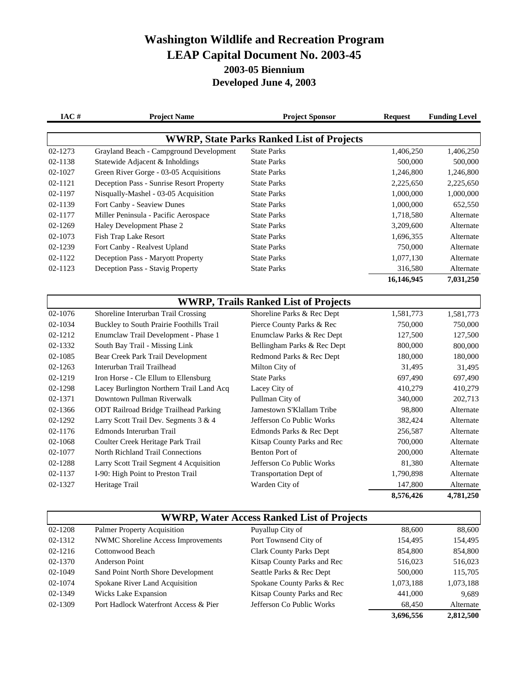## **Washington Wildlife and Recreation Program LEAP Capital Document No. 2003-45 2003-05 Biennium Developed June 4, 2003**

| IAC#    | <b>Project Name</b>                      | <b>Project Sponsor</b>                           | <b>Request</b> | <b>Funding Level</b> |
|---------|------------------------------------------|--------------------------------------------------|----------------|----------------------|
|         |                                          | <b>WWRP, State Parks Ranked List of Projects</b> |                |                      |
| 02-1273 | Grayland Beach - Campground Development  | <b>State Parks</b>                               | 1,406,250      | 1,406,250            |
| 02-1138 | Statewide Adjacent & Inholdings          | <b>State Parks</b>                               | 500,000        | 500,000              |
| 02-1027 | Green River Gorge - 03-05 Acquisitions   | <b>State Parks</b>                               | 1,246,800      | 1,246,800            |
| 02-1121 | Deception Pass - Sunrise Resort Property | <b>State Parks</b>                               | 2,225,650      | 2,225,650            |
| 02-1197 | Nisqually-Mashel - 03-05 Acquisition     | <b>State Parks</b>                               | 1,000,000      | 1,000,000            |
| 02-1139 | Fort Canby - Seaview Dunes               | <b>State Parks</b>                               | 1,000,000      | 652,550              |
| 02-1177 | Miller Peninsula - Pacific Aerospace     | <b>State Parks</b>                               | 1,718,580      | Alternate            |
| 02-1269 | Haley Development Phase 2                | <b>State Parks</b>                               | 3,209,600      | Alternate            |
| 02-1073 | Fish Trap Lake Resort                    | <b>State Parks</b>                               | 1,696,355      | Alternate            |
| 02-1239 | Fort Canby - Realvest Upland             | <b>State Parks</b>                               | 750,000        | Alternate            |
| 02-1122 | Deception Pass - Maryott Property        | <b>State Parks</b>                               | 1,077,130      | Alternate            |
| 02-1123 | Deception Pass - Stavig Property         | <b>State Parks</b>                               | 316,580        | Alternate            |
|         |                                          |                                                  | 16,146,945     | 7,031,250            |

| <b>WWRP, Trails Ranked List of Projects</b> |                                              |                               |           |           |
|---------------------------------------------|----------------------------------------------|-------------------------------|-----------|-----------|
| 02-1076                                     | Shoreline Interurban Trail Crossing          | Shoreline Parks & Rec Dept    | 1,581,773 | 1,581,773 |
| 02-1034                                     | Buckley to South Prairie Foothills Trail     | Pierce County Parks & Rec     | 750,000   | 750,000   |
| 02-1212                                     | Enumclaw Trail Development - Phase 1         | Enumclaw Parks & Rec Dept     | 127,500   | 127,500   |
| 02-1332                                     | South Bay Trail - Missing Link               | Bellingham Parks & Rec Dept   | 800,000   | 800,000   |
| 02-1085                                     | Bear Creek Park Trail Development            | Redmond Parks & Rec Dept      | 180,000   | 180,000   |
| 02-1263                                     | Interurban Trail Trailhead                   | Milton City of                | 31,495    | 31,495    |
| 02-1219                                     | Iron Horse - Cle Ellum to Ellensburg         | <b>State Parks</b>            | 697,490   | 697,490   |
| 02-1298                                     | Lacey Burlington Northern Trail Land Acq     | Lacey City of                 | 410,279   | 410,279   |
| 02-1371                                     | Downtown Pullman Riverwalk                   | Pullman City of               | 340,000   | 202,713   |
| 02-1366                                     | <b>ODT Railroad Bridge Trailhead Parking</b> | Jamestown S'Klallam Tribe     | 98,800    | Alternate |
| 02-1292                                     | Larry Scott Trail Dev. Segments 3 & 4        | Jefferson Co Public Works     | 382,424   | Alternate |
| 02-1176                                     | Edmonds Interurban Trail                     | Edmonds Parks & Rec Dept      | 256,587   | Alternate |
| 02-1068                                     | Coulter Creek Heritage Park Trail            | Kitsap County Parks and Rec   | 700,000   | Alternate |
| 02-1077                                     | North Richland Trail Connections             | Benton Port of                | 200,000   | Alternate |
| 02-1288                                     | Larry Scott Trail Segment 4 Acquisition      | Jefferson Co Public Works     | 81,380    | Alternate |
| 02-1137                                     | I-90: High Point to Preston Trail            | <b>Transportation Dept of</b> | 1,790,898 | Alternate |
| 02-1327                                     | Heritage Trail                               | Warden City of                | 147,800   | Alternate |
|                                             |                                              |                               | 8,576,426 | 4,781,250 |

| <b>WWRP, Water Access Ranked List of Projects</b> |                                           |                                |           |           |  |
|---------------------------------------------------|-------------------------------------------|--------------------------------|-----------|-----------|--|
| 02-1208                                           | Palmer Property Acquisition               | Puyallup City of               | 88.600    | 88,600    |  |
| 02-1312                                           | <b>NWMC Shoreline Access Improvements</b> | Port Townsend City of          | 154,495   | 154,495   |  |
| 02-1216                                           | Cottonwood Beach                          | <b>Clark County Parks Dept</b> | 854,800   | 854,800   |  |
| 02-1370                                           | Anderson Point                            | Kitsap County Parks and Rec    | 516,023   | 516,023   |  |
| 02-1049                                           | Sand Point North Shore Development        | Seattle Parks & Rec Dept       | 500,000   | 115,705   |  |
| 02-1074                                           | Spokane River Land Acquisition            | Spokane County Parks & Rec     | 1,073,188 | 1,073,188 |  |
| 02-1349                                           | Wicks Lake Expansion                      | Kitsap County Parks and Rec    | 441,000   | 9.689     |  |
| 02-1309                                           | Port Hadlock Waterfront Access & Pier     | Jefferson Co Public Works      | 68,450    | Alternate |  |
|                                                   |                                           |                                | 3,696,556 | 2,812,500 |  |